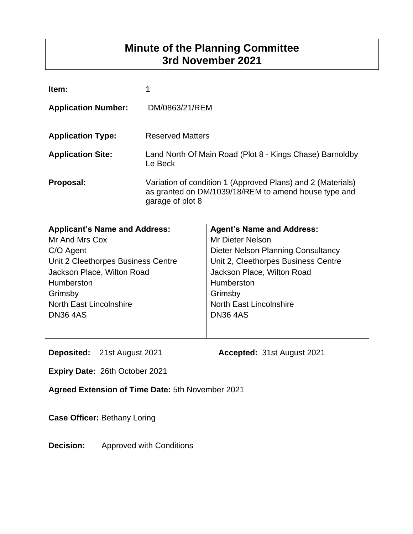# **Minute of the Planning Committee 3rd November 2021**

| Item:                      |                                                                                                                                         |
|----------------------------|-----------------------------------------------------------------------------------------------------------------------------------------|
| <b>Application Number:</b> | DM/0863/21/REM                                                                                                                          |
| <b>Application Type:</b>   | <b>Reserved Matters</b>                                                                                                                 |
| <b>Application Site:</b>   | Land North Of Main Road (Plot 8 - Kings Chase) Barnoldby<br>Le Beck                                                                     |
| Proposal:                  | Variation of condition 1 (Approved Plans) and 2 (Materials)<br>as granted on DM/1039/18/REM to amend house type and<br>garage of plot 8 |

| <b>Applicant's Name and Address:</b> | <b>Agent's Name and Address:</b>          |
|--------------------------------------|-------------------------------------------|
| Mr And Mrs Cox                       | Mr Dieter Nelson                          |
| C/O Agent                            | <b>Dieter Nelson Planning Consultancy</b> |
| Unit 2 Cleethorpes Business Centre   | Unit 2, Cleethorpes Business Centre       |
| Jackson Place, Wilton Road           | Jackson Place, Wilton Road                |
| Humberston                           | Humberston                                |
| Grimsby                              | Grimsby                                   |
| North East Lincolnshire              | <b>North East Lincolnshire</b>            |
| <b>DN36 4AS</b>                      | <b>DN364AS</b>                            |
|                                      |                                           |
|                                      |                                           |

**Deposited:** 21st August 2021 **Accepted:** 31st August 2021

**Expiry Date:** 26th October 2021

**Agreed Extension of Time Date:** 5th November 2021

**Case Officer:** Bethany Loring

**Decision:** Approved with Conditions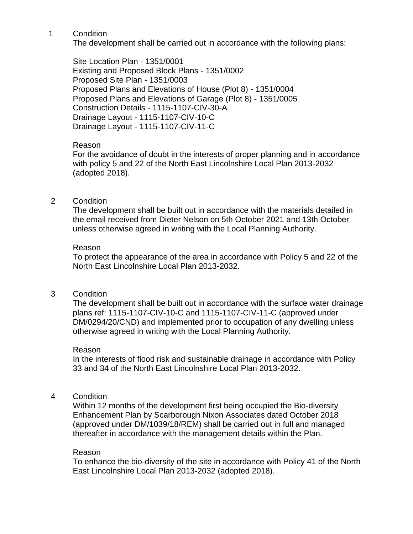The development shall be carried out in accordance with the following plans:

Site Location Plan - 1351/0001 Existing and Proposed Block Plans - 1351/0002 Proposed Site Plan - 1351/0003 Proposed Plans and Elevations of House (Plot 8) - 1351/0004 Proposed Plans and Elevations of Garage (Plot 8) - 1351/0005 Construction Details - 1115-1107-CIV-30-A Drainage Layout - 1115-1107-CIV-10-C Drainage Layout - 1115-1107-CIV-11-C

### Reason

For the avoidance of doubt in the interests of proper planning and in accordance with policy 5 and 22 of the North East Lincolnshire Local Plan 2013-2032 (adopted 2018).

# 2 Condition

The development shall be built out in accordance with the materials detailed in the email received from Dieter Nelson on 5th October 2021 and 13th October unless otherwise agreed in writing with the Local Planning Authority.

#### Reason

To protect the appearance of the area in accordance with Policy 5 and 22 of the North East Lincolnshire Local Plan 2013-2032.

# 3 Condition

The development shall be built out in accordance with the surface water drainage plans ref: 1115-1107-CIV-10-C and 1115-1107-CIV-11-C (approved under DM/0294/20/CND) and implemented prior to occupation of any dwelling unless otherwise agreed in writing with the Local Planning Authority.

#### Reason

In the interests of flood risk and sustainable drainage in accordance with Policy 33 and 34 of the North East Lincolnshire Local Plan 2013-2032.

4 Condition

Within 12 months of the development first being occupied the Bio-diversity Enhancement Plan by Scarborough Nixon Associates dated October 2018 (approved under DM/1039/18/REM) shall be carried out in full and managed thereafter in accordance with the management details within the Plan.

#### Reason

To enhance the bio-diversity of the site in accordance with Policy 41 of the North East Lincolnshire Local Plan 2013-2032 (adopted 2018).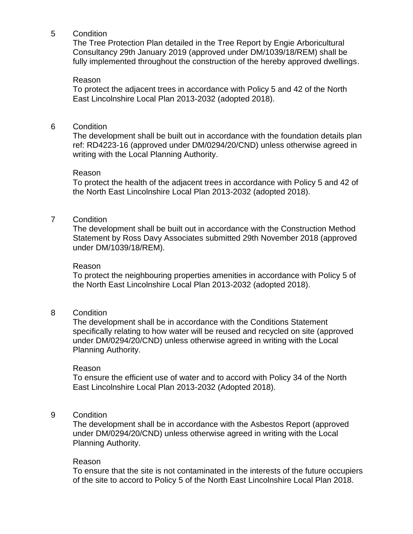The Tree Protection Plan detailed in the Tree Report by Engie Arboricultural Consultancy 29th January 2019 (approved under DM/1039/18/REM) shall be fully implemented throughout the construction of the hereby approved dwellings.

#### Reason

To protect the adjacent trees in accordance with Policy 5 and 42 of the North East Lincolnshire Local Plan 2013-2032 (adopted 2018).

#### 6 Condition

The development shall be built out in accordance with the foundation details plan ref: RD4223-16 (approved under DM/0294/20/CND) unless otherwise agreed in writing with the Local Planning Authority.

#### Reason

To protect the health of the adjacent trees in accordance with Policy 5 and 42 of the North East Lincolnshire Local Plan 2013-2032 (adopted 2018).

### 7 Condition

The development shall be built out in accordance with the Construction Method Statement by Ross Davy Associates submitted 29th November 2018 (approved under DM/1039/18/REM).

#### Reason

To protect the neighbouring properties amenities in accordance with Policy 5 of the North East Lincolnshire Local Plan 2013-2032 (adopted 2018).

#### 8 Condition

The development shall be in accordance with the Conditions Statement specifically relating to how water will be reused and recycled on site (approved under DM/0294/20/CND) unless otherwise agreed in writing with the Local Planning Authority.

#### Reason

To ensure the efficient use of water and to accord with Policy 34 of the North East Lincolnshire Local Plan 2013-2032 (Adopted 2018).

#### 9 Condition

The development shall be in accordance with the Asbestos Report (approved under DM/0294/20/CND) unless otherwise agreed in writing with the Local Planning Authority.

#### Reason

To ensure that the site is not contaminated in the interests of the future occupiers of the site to accord to Policy 5 of the North East Lincolnshire Local Plan 2018.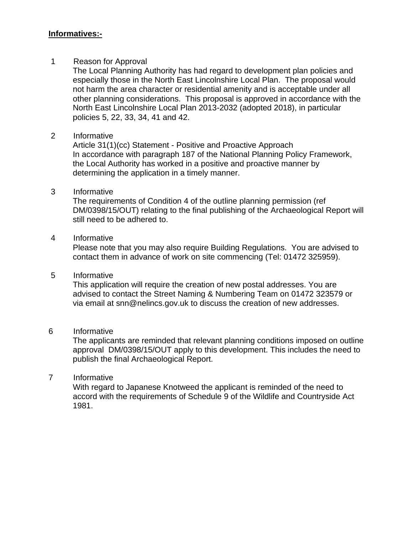## **Informatives:-**

### 1 Reason for Approval

The Local Planning Authority has had regard to development plan policies and especially those in the North East Lincolnshire Local Plan. The proposal would not harm the area character or residential amenity and is acceptable under all other planning considerations. This proposal is approved in accordance with the North East Lincolnshire Local Plan 2013-2032 (adopted 2018), in particular policies 5, 22, 33, 34, 41 and 42.

# 2 Informative

Article 31(1)(cc) Statement - Positive and Proactive Approach In accordance with paragraph 187 of the National Planning Policy Framework, the Local Authority has worked in a positive and proactive manner by determining the application in a timely manner.

### 3 Informative

The requirements of Condition 4 of the outline planning permission (ref DM/0398/15/OUT) relating to the final publishing of the Archaeological Report will still need to be adhered to.

# 4 Informative

Please note that you may also require Building Regulations. You are advised to contact them in advance of work on site commencing (Tel: 01472 325959).

#### 5 Informative

This application will require the creation of new postal addresses. You are advised to contact the Street Naming & Numbering Team on 01472 323579 or via email at snn@nelincs.gov.uk to discuss the creation of new addresses.

#### 6 Informative

The applicants are reminded that relevant planning conditions imposed on outline approval DM/0398/15/OUT apply to this development. This includes the need to publish the final Archaeological Report.

# 7 Informative

With regard to Japanese Knotweed the applicant is reminded of the need to accord with the requirements of Schedule 9 of the Wildlife and Countryside Act 1981.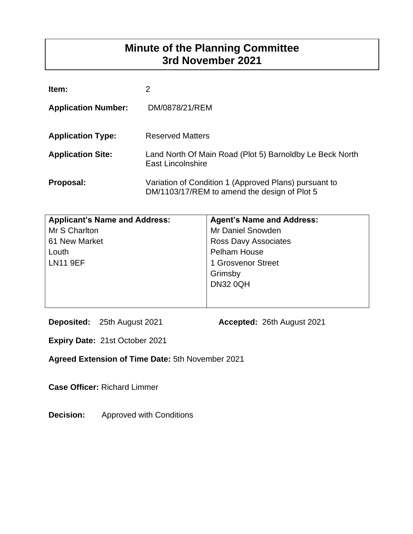# **Minute of the Planning Committee 3rd November 2021**

| Item:                      | 2                                                                                                     |
|----------------------------|-------------------------------------------------------------------------------------------------------|
| <b>Application Number:</b> | DM/0878/21/REM                                                                                        |
| <b>Application Type:</b>   | <b>Reserved Matters</b>                                                                               |
| <b>Application Site:</b>   | Land North Of Main Road (Plot 5) Barnoldby Le Beck North<br>East Lincolnshire                         |
| Proposal:                  | Variation of Condition 1 (Approved Plans) pursuant to<br>DM/1103/17/REM to amend the design of Plot 5 |

| <b>Applicant's Name and Address:</b> | <b>Agent's Name and Address:</b> |
|--------------------------------------|----------------------------------|
| Mr S Charlton                        | Mr Daniel Snowden                |
| 61 New Market                        | <b>Ross Davy Associates</b>      |
| Louth                                | <b>Pelham House</b>              |
| <b>LN11 9EF</b>                      | 1 Grosvenor Street               |
|                                      | Grimsby                          |
|                                      | <b>DN32 0QH</b>                  |
|                                      |                                  |

**Deposited:** 25th August 2021 **Accepted:** 26th August 2021

**Expiry Date:** 21st October 2021

**Agreed Extension of Time Date:** 5th November 2021

**Case Officer:** Richard Limmer

**Decision:** Approved with Conditions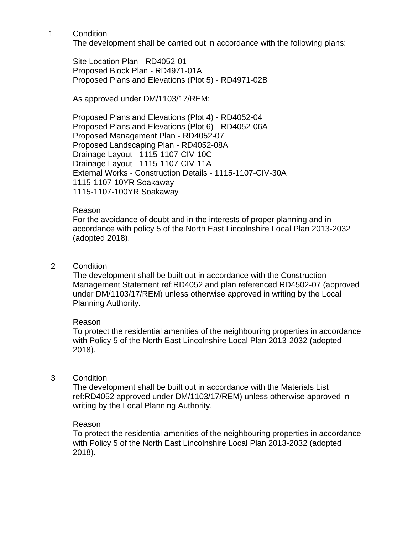The development shall be carried out in accordance with the following plans:

Site Location Plan - RD4052-01 Proposed Block Plan - RD4971-01A Proposed Plans and Elevations (Plot 5) - RD4971-02B

As approved under DM/1103/17/REM:

Proposed Plans and Elevations (Plot 4) - RD4052-04 Proposed Plans and Elevations (Plot 6) - RD4052-06A Proposed Management Plan - RD4052-07 Proposed Landscaping Plan - RD4052-08A Drainage Layout - 1115-1107-CIV-10C Drainage Layout - 1115-1107-CIV-11A External Works - Construction Details - 1115-1107-CIV-30A 1115-1107-10YR Soakaway 1115-1107-100YR Soakaway

# Reason

For the avoidance of doubt and in the interests of proper planning and in accordance with policy 5 of the North East Lincolnshire Local Plan 2013-2032 (adopted 2018).

# 2 Condition

The development shall be built out in accordance with the Construction Management Statement ref:RD4052 and plan referenced RD4502-07 (approved under DM/1103/17/REM) unless otherwise approved in writing by the Local Planning Authority.

# Reason

To protect the residential amenities of the neighbouring properties in accordance with Policy 5 of the North East Lincolnshire Local Plan 2013-2032 (adopted 2018).

# 3 Condition

The development shall be built out in accordance with the Materials List ref:RD4052 approved under DM/1103/17/REM) unless otherwise approved in writing by the Local Planning Authority.

# Reason

To protect the residential amenities of the neighbouring properties in accordance with Policy 5 of the North East Lincolnshire Local Plan 2013-2032 (adopted 2018).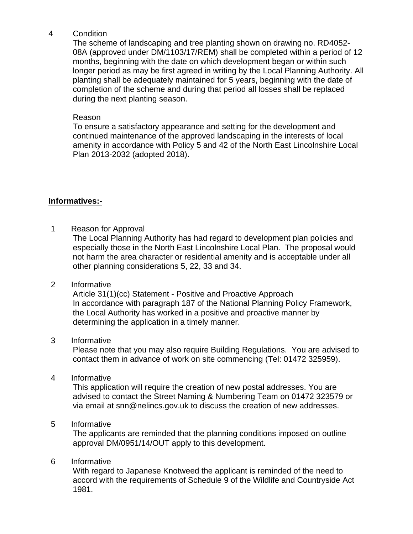The scheme of landscaping and tree planting shown on drawing no. RD4052- 08A (approved under DM/1103/17/REM) shall be completed within a period of 12 months, beginning with the date on which development began or within such longer period as may be first agreed in writing by the Local Planning Authority. All planting shall be adequately maintained for 5 years, beginning with the date of completion of the scheme and during that period all losses shall be replaced during the next planting season.

# Reason

To ensure a satisfactory appearance and setting for the development and continued maintenance of the approved landscaping in the interests of local amenity in accordance with Policy 5 and 42 of the North East Lincolnshire Local Plan 2013-2032 (adopted 2018).

# **Informatives:-**

1 Reason for Approval

The Local Planning Authority has had regard to development plan policies and especially those in the North East Lincolnshire Local Plan. The proposal would not harm the area character or residential amenity and is acceptable under all other planning considerations 5, 22, 33 and 34.

# 2 Informative

Article 31(1)(cc) Statement - Positive and Proactive Approach In accordance with paragraph 187 of the National Planning Policy Framework, the Local Authority has worked in a positive and proactive manner by determining the application in a timely manner.

# 3 Informative

Please note that you may also require Building Regulations. You are advised to contact them in advance of work on site commencing (Tel: 01472 325959).

# 4 Informative

This application will require the creation of new postal addresses. You are advised to contact the Street Naming & Numbering Team on 01472 323579 or via email at snn@nelincs.gov.uk to discuss the creation of new addresses.

# 5 Informative

The applicants are reminded that the planning conditions imposed on outline approval DM/0951/14/OUT apply to this development.

# 6 Informative

With regard to Japanese Knotweed the applicant is reminded of the need to accord with the requirements of Schedule 9 of the Wildlife and Countryside Act 1981.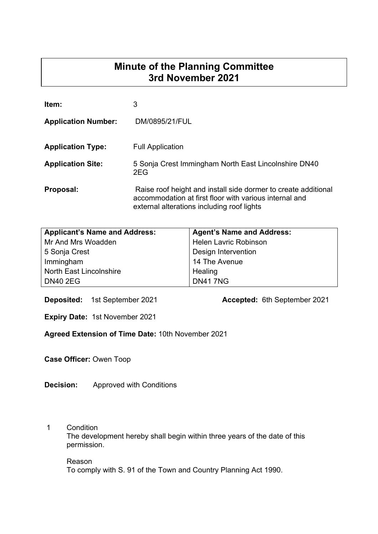# **Minute of the Planning Committee 3rd November 2021**

| Item:                      | 3                                                                                                                                                                      |
|----------------------------|------------------------------------------------------------------------------------------------------------------------------------------------------------------------|
| <b>Application Number:</b> | DM/0895/21/FUL                                                                                                                                                         |
| <b>Application Type:</b>   | <b>Full Application</b>                                                                                                                                                |
| <b>Application Site:</b>   | 5 Sonja Crest Immingham North East Lincolnshire DN40<br>2EG                                                                                                            |
| Proposal:                  | Raise roof height and install side dormer to create additional<br>accommodation at first floor with various internal and<br>external alterations including roof lights |

| <b>Applicant's Name and Address:</b> | <b>Agent's Name and Address:</b> |
|--------------------------------------|----------------------------------|
| Mr And Mrs Woadden                   | <b>Helen Lavric Robinson</b>     |
| 5 Sonja Crest                        | Design Intervention              |
| Immingham                            | 14 The Avenue                    |
| <b>North East Lincolnshire</b>       | Healing                          |
| <b>DN40 2EG</b>                      | <b>DN417NG</b>                   |

**Deposited:** 1st September 2021 **Accepted:** 6th September 2021

**Expiry Date:** 1st November 2021

**Agreed Extension of Time Date:** 10th November 2021

**Case Officer:** Owen Toop

**Decision:** Approved with Conditions

# 1 Condition

 The development hereby shall begin within three years of the date of this permission.

# Reason To comply with S. 91 of the Town and Country Planning Act 1990.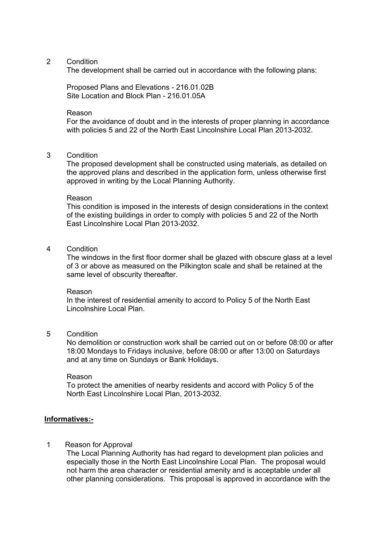The development shall be carried out in accordance with the following plans:

 Proposed Plans and Elevations - 216.01.02B Site Location and Block Plan - 216.01.05A

#### Reason

 For the avoidance of doubt and in the interests of proper planning in accordance with policies 5 and 22 of the North East Lincolnshire Local Plan 2013-2032.

#### 3 Condition

 The proposed development shall be constructed using materials, as detailed on the approved plans and described in the application form, unless otherwise first approved in writing by the Local Planning Authority.

#### Reason

 This condition is imposed in the interests of design considerations in the context of the existing buildings in order to comply with policies 5 and 22 of the North East Lincolnshire Local Plan 2013-2032.

#### 4 Condition

 The windows in the first floor dormer shall be glazed with obscure glass at a level of 3 or above as measured on the Pilkington scale and shall be retained at the same level of obscurity thereafter.

#### Reason

 In the interest of residential amenity to accord to Policy 5 of the North East Lincolnshire Local Plan.

#### 5 Condition

 No demolition or construction work shall be carried out on or before 08:00 or after 18:00 Mondays to Fridays inclusive, before 08:00 or after 13:00 on Saturdays and at any time on Sundays or Bank Holidays.

#### Reason

 To protect the amenities of nearby residents and accord with Policy 5 of the North East Lincolnshire Local Plan, 2013-2032.

#### **Informatives:-**

#### 1 Reason for Approval

The Local Planning Authority has had regard to development plan policies and especially those in the North East Lincolnshire Local Plan. The proposal would not harm the area character or residential amenity and is acceptable under all other planning considerations. This proposal is approved in accordance with the